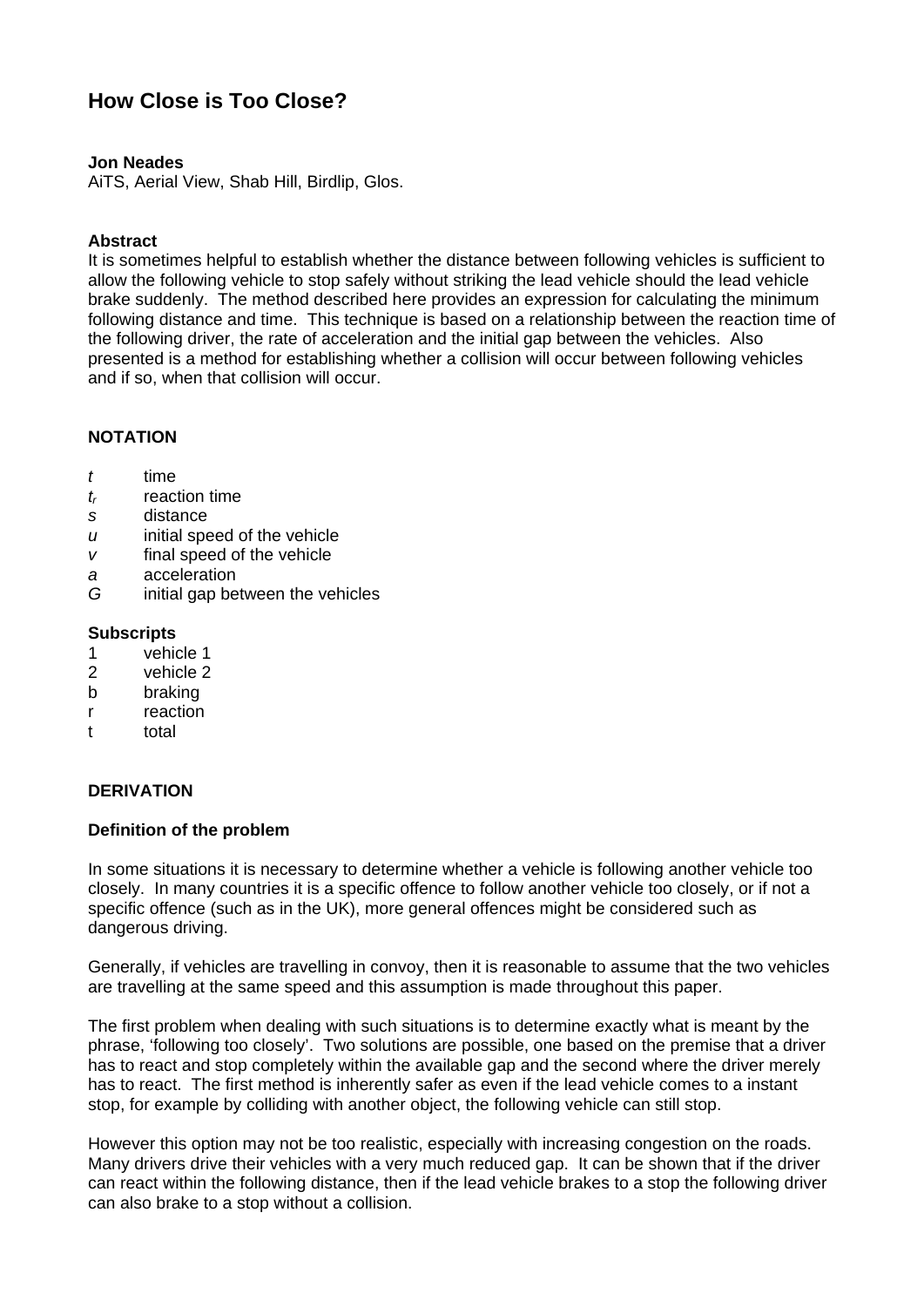# **How Close is Too Close?**

## **Jon Neades**

AiTS, Aerial View, Shab Hill, Birdlip, Glos.

## **Abstract**

It is sometimes helpful to establish whether the distance between following vehicles is sufficient to allow the following vehicle to stop safely without striking the lead vehicle should the lead vehicle brake suddenly. The method described here provides an expression for calculating the minimum following distance and time. This technique is based on a relationship between the reaction time of the following driver, the rate of acceleration and the initial gap between the vehicles. Also presented is a method for establishing whether a collision will occur between following vehicles and if so, when that collision will occur.

# **NOTATION**

- *t* time
- *tr* reaction time
- *s* distance
- *u* initial speed of the vehicle
- *v* final speed of the vehicle
- *a* acceleration
- *G* initial gap between the vehicles

#### **Subscripts**

- 1 vehicle 1
- 2 vehicle 2
- b braking
- r reaction
- t total

# **DERIVATION**

#### **Definition of the problem**

In some situations it is necessary to determine whether a vehicle is following another vehicle too closely. In many countries it is a specific offence to follow another vehicle too closely, or if not a specific offence (such as in the UK), more general offences might be considered such as dangerous driving.

Generally, if vehicles are travelling in convoy, then it is reasonable to assume that the two vehicles are travelling at the same speed and this assumption is made throughout this paper.

The first problem when dealing with such situations is to determine exactly what is meant by the phrase, 'following too closely'. Two solutions are possible, one based on the premise that a driver has to react and stop completely within the available gap and the second where the driver merely has to react. The first method is inherently safer as even if the lead vehicle comes to a instant stop, for example by colliding with another object, the following vehicle can still stop.

However this option may not be too realistic, especially with increasing congestion on the roads. Many drivers drive their vehicles with a very much reduced gap. It can be shown that if the driver can react within the following distance, then if the lead vehicle brakes to a stop the following driver can also brake to a stop without a collision.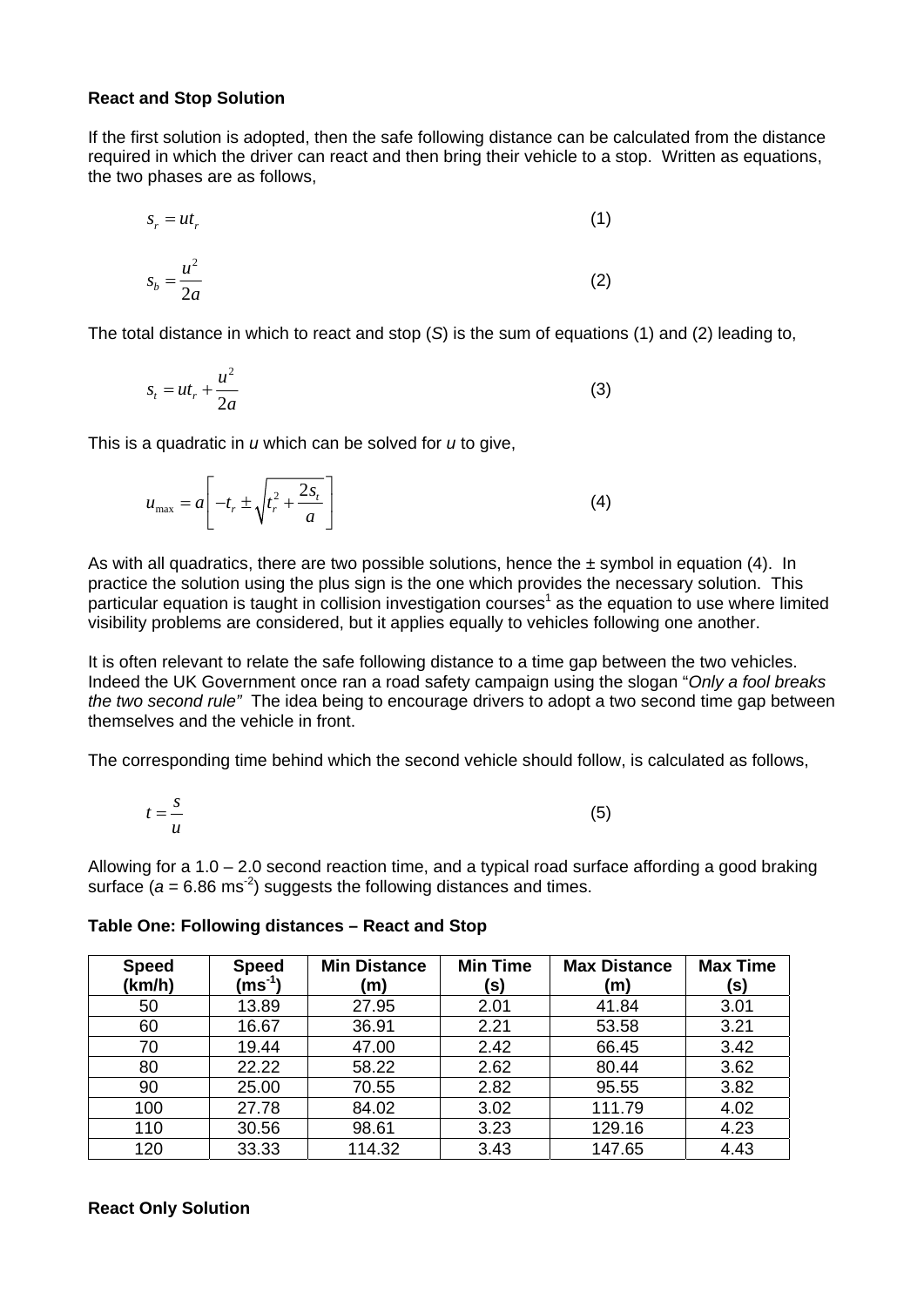#### **React and Stop Solution**

If the first solution is adopted, then the safe following distance can be calculated from the distance required in which the driver can react and then bring their vehicle to a stop. Written as equations, the two phases are as follows,

$$
s_r = ut_r
$$
  
\n
$$
s_b = \frac{u^2}{2a}
$$
\n(1)

The total distance in which to react and stop (*S*) is the sum of equations (1) and (2) leading to,

$$
s_t = ut_r + \frac{u^2}{2a} \tag{3}
$$

This is a quadratic in *u* which can be solved for *u* to give,

$$
u_{\max} = a \left[ -t_r \pm \sqrt{t_r^2 + \frac{2s_t}{a}} \right]
$$
 (4)

As with all quadratics, there are two possible solutions, hence the  $\pm$  symbol in equation (4). In practice the solution using the plus sign is the one which provides the necessary solution. This particular equation is taught in collision investigation courses<sup>1</sup> as the equation to use where limited visibility problems are considered, but it applies equally to vehicles following one another.

It is often relevant to relate the safe following distance to a time gap between the two vehicles. Indeed the UK Government once ran a road safety campaign using the slogan "*Only a fool breaks the two second rule"* The idea being to encourage drivers to adopt a two second time gap between themselves and the vehicle in front.

The corresponding time behind which the second vehicle should follow, is calculated as follows,

$$
t = \frac{s}{u} \tag{5}
$$

Allowing for a 1.0 – 2.0 second reaction time, and a typical road surface affording a good braking surface  $(a = 6.86 \text{ ms}^2)$  suggests the following distances and times.

| <b>Speed</b><br>(km/h) | <b>Speed</b><br>$\mathsf{(ms^{\text{-}1})}$ | <b>Min Distance</b><br>(m) | <b>Min Time</b><br>(s) | <b>Max Distance</b><br>(m) | <b>Max Time</b><br>(s) |
|------------------------|---------------------------------------------|----------------------------|------------------------|----------------------------|------------------------|
| 50                     | 13.89                                       | 27.95                      | 2.01                   | 41.84                      | 3.01                   |
| 60                     | 16.67                                       | 36.91                      | 2.21                   | 53.58                      | 3.21                   |
| 70                     | 19.44                                       | 47.00                      | 2.42                   | 66.45                      | 3.42                   |
| 80                     | 22.22                                       | 58.22                      | 2.62                   | 80.44                      | 3.62                   |
| 90                     | 25.00                                       | 70.55                      | 2.82                   | 95.55                      | 3.82                   |
| 100                    | 27.78                                       | 84.02                      | 3.02                   | 111.79                     | 4.02                   |
| 110                    | 30.56                                       | 98.61                      | 3.23                   | 129.16                     | 4.23                   |
| 120                    | 33.33                                       | 114.32                     | 3.43                   | 147.65                     | 4.43                   |

**Table One: Following distances – React and Stop** 

#### **React Only Solution**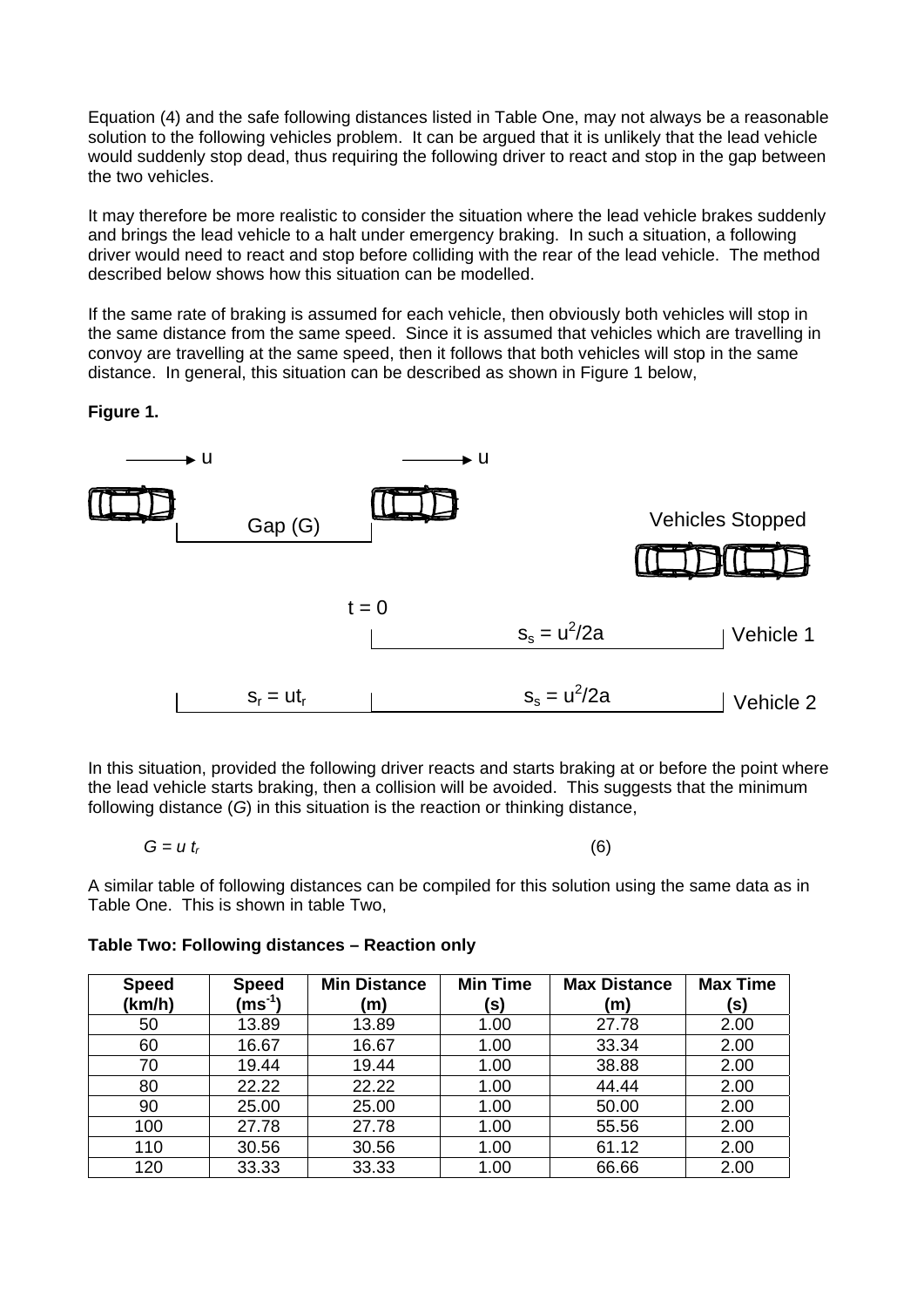Equation (4) and the safe following distances listed in Table One, may not always be a reasonable solution to the following vehicles problem. It can be argued that it is unlikely that the lead vehicle would suddenly stop dead, thus requiring the following driver to react and stop in the gap between the two vehicles.

It may therefore be more realistic to consider the situation where the lead vehicle brakes suddenly and brings the lead vehicle to a halt under emergency braking. In such a situation, a following driver would need to react and stop before colliding with the rear of the lead vehicle. The method described below shows how this situation can be modelled.

If the same rate of braking is assumed for each vehicle, then obviously both vehicles will stop in the same distance from the same speed. Since it is assumed that vehicles which are travelling in convoy are travelling at the same speed, then it follows that both vehicles will stop in the same distance. In general, this situation can be described as shown in Figure 1 below,

**Figure 1.** 



In this situation, provided the following driver reacts and starts braking at or before the point where the lead vehicle starts braking, then a collision will be avoided. This suggests that the minimum following distance (*G*) in this situation is the reaction or thinking distance,

$$
G = u t_r \tag{6}
$$

A similar table of following distances can be compiled for this solution using the same data as in Table One. This is shown in table Two,

| <b>Speed</b><br>(km/h) | <b>Speed</b><br>$\rm (ms^{-1})$ | <b>Min Distance</b><br>(m) | <b>Min Time</b><br>(s) | <b>Max Distance</b><br>(m) | <b>Max Time</b><br>(S) |
|------------------------|---------------------------------|----------------------------|------------------------|----------------------------|------------------------|
| 50                     | 13.89                           | 13.89                      | 1.00                   | 27.78                      | 2.00                   |
| 60                     | 16.67                           | 16.67                      | 1.00                   | 33.34                      | 2.00                   |
| 70                     | 19.44                           | 19.44                      | 1.00                   | 38.88                      | 2.00                   |
| 80                     | 22.22                           | 22.22                      | 1.00                   | 44.44                      | 2.00                   |
| 90                     | 25.00                           | 25.00                      | 1.00                   | 50.00                      | 2.00                   |
| 100                    | 27.78                           | 27.78                      | 1.00                   | 55.56                      | 2.00                   |
| 110                    | 30.56                           | 30.56                      | 1.00                   | 61.12                      | 2.00                   |
| 120                    | 33.33                           | 33.33                      | 1.00                   | 66.66                      | 2.00                   |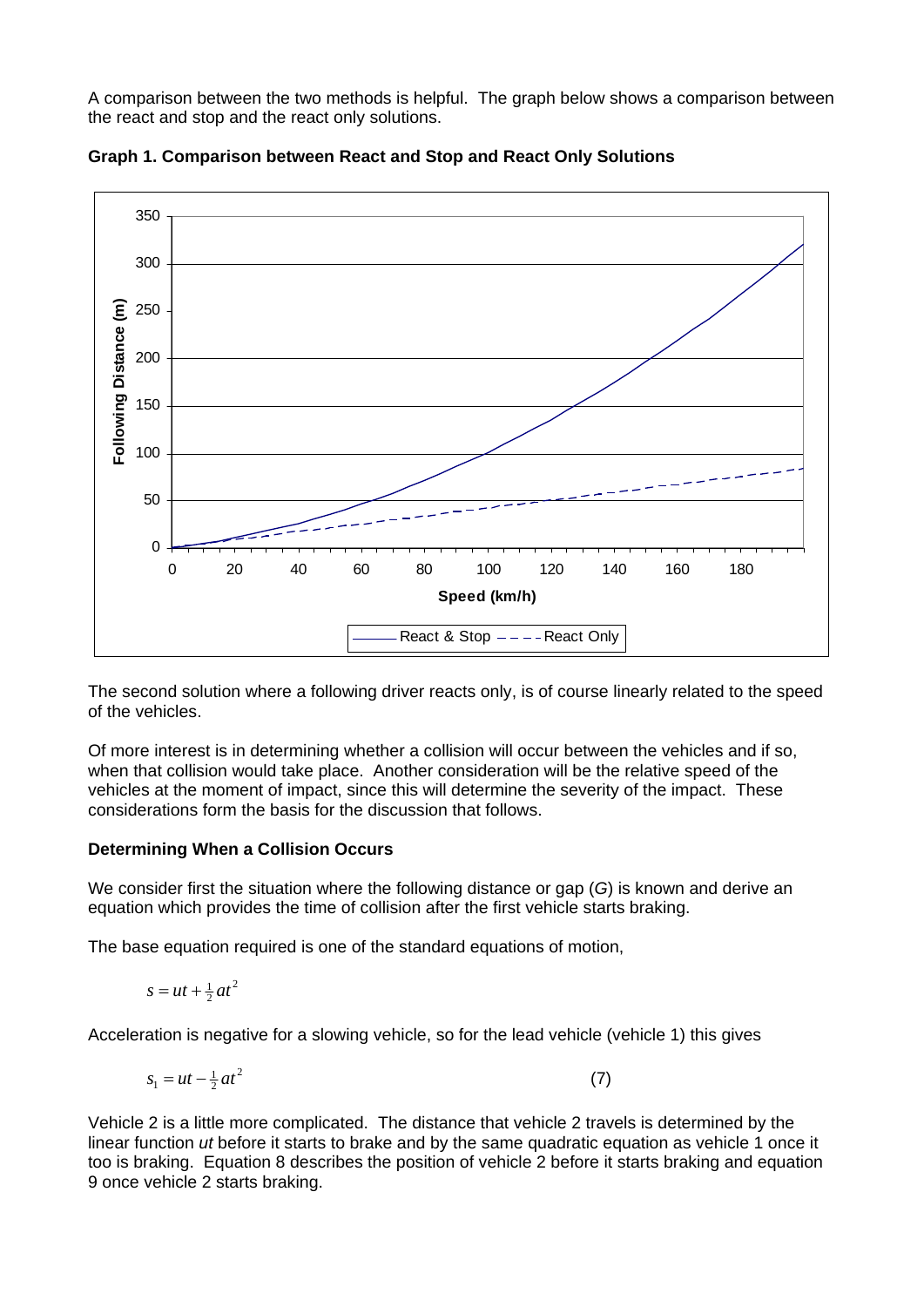A comparison between the two methods is helpful. The graph below shows a comparison between the react and stop and the react only solutions.



**Graph 1. Comparison between React and Stop and React Only Solutions** 

The second solution where a following driver reacts only, is of course linearly related to the speed of the vehicles.

Of more interest is in determining whether a collision will occur between the vehicles and if so, when that collision would take place. Another consideration will be the relative speed of the vehicles at the moment of impact, since this will determine the severity of the impact. These considerations form the basis for the discussion that follows.

# **Determining When a Collision Occurs**

We consider first the situation where the following distance or gap (*G*) is known and derive an equation which provides the time of collision after the first vehicle starts braking.

The base equation required is one of the standard equations of motion,

$$
s = ut + \frac{1}{2}at^2
$$

Acceleration is negative for a slowing vehicle, so for the lead vehicle (vehicle 1) this gives

$$
s_1 = ut - \frac{1}{2}at^2 \tag{7}
$$

Vehicle 2 is a little more complicated. The distance that vehicle 2 travels is determined by the linear function *ut* before it starts to brake and by the same quadratic equation as vehicle 1 once it too is braking. Equation 8 describes the position of vehicle 2 before it starts braking and equation 9 once vehicle 2 starts braking.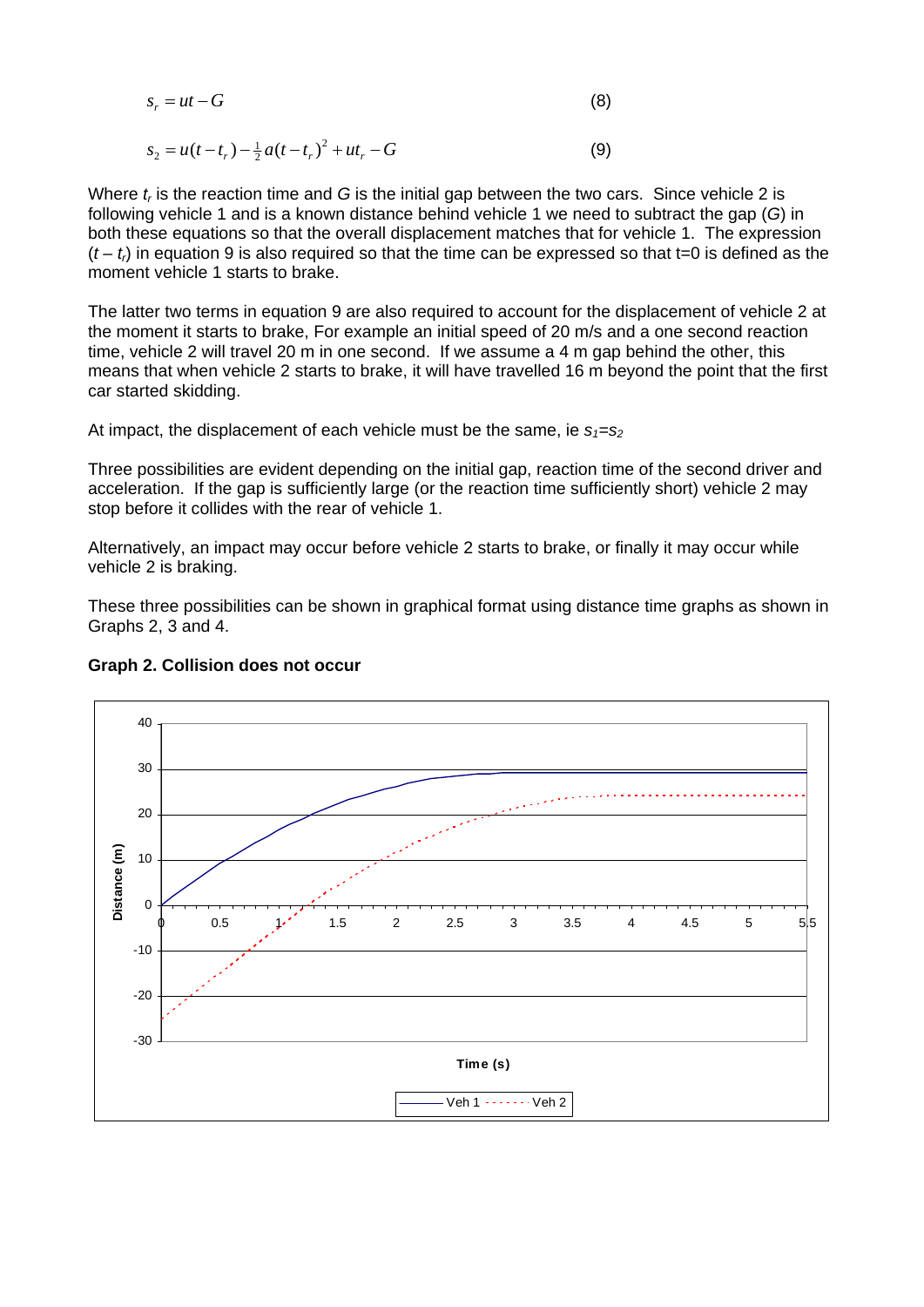$$
s_r = ut - G \tag{8}
$$

$$
s_2 = u(t - t_r) - \frac{1}{2}a(t - t_r)^2 + ut_r - G
$$
\n(9)

Where  $t_r$  is the reaction time and G is the initial gap between the two cars. Since vehicle 2 is following vehicle 1 and is a known distance behind vehicle 1 we need to subtract the gap (*G*) in both these equations so that the overall displacement matches that for vehicle 1. The expression  $(t - t<sub>i</sub>)$  in equation 9 is also required so that the time can be expressed so that t=0 is defined as the moment vehicle 1 starts to brake.

The latter two terms in equation 9 are also required to account for the displacement of vehicle 2 at the moment it starts to brake, For example an initial speed of 20 m/s and a one second reaction time, vehicle 2 will travel 20 m in one second. If we assume a 4 m gap behind the other, this means that when vehicle 2 starts to brake, it will have travelled 16 m beyond the point that the first car started skidding.

At impact, the displacement of each vehicle must be the same, ie  $s_1 = s_2$ 

Three possibilities are evident depending on the initial gap, reaction time of the second driver and acceleration. If the gap is sufficiently large (or the reaction time sufficiently short) vehicle 2 may stop before it collides with the rear of vehicle 1.

Alternatively, an impact may occur before vehicle 2 starts to brake, or finally it may occur while vehicle 2 is braking.

These three possibilities can be shown in graphical format using distance time graphs as shown in Graphs 2, 3 and 4.



# **Graph 2. Collision does not occur**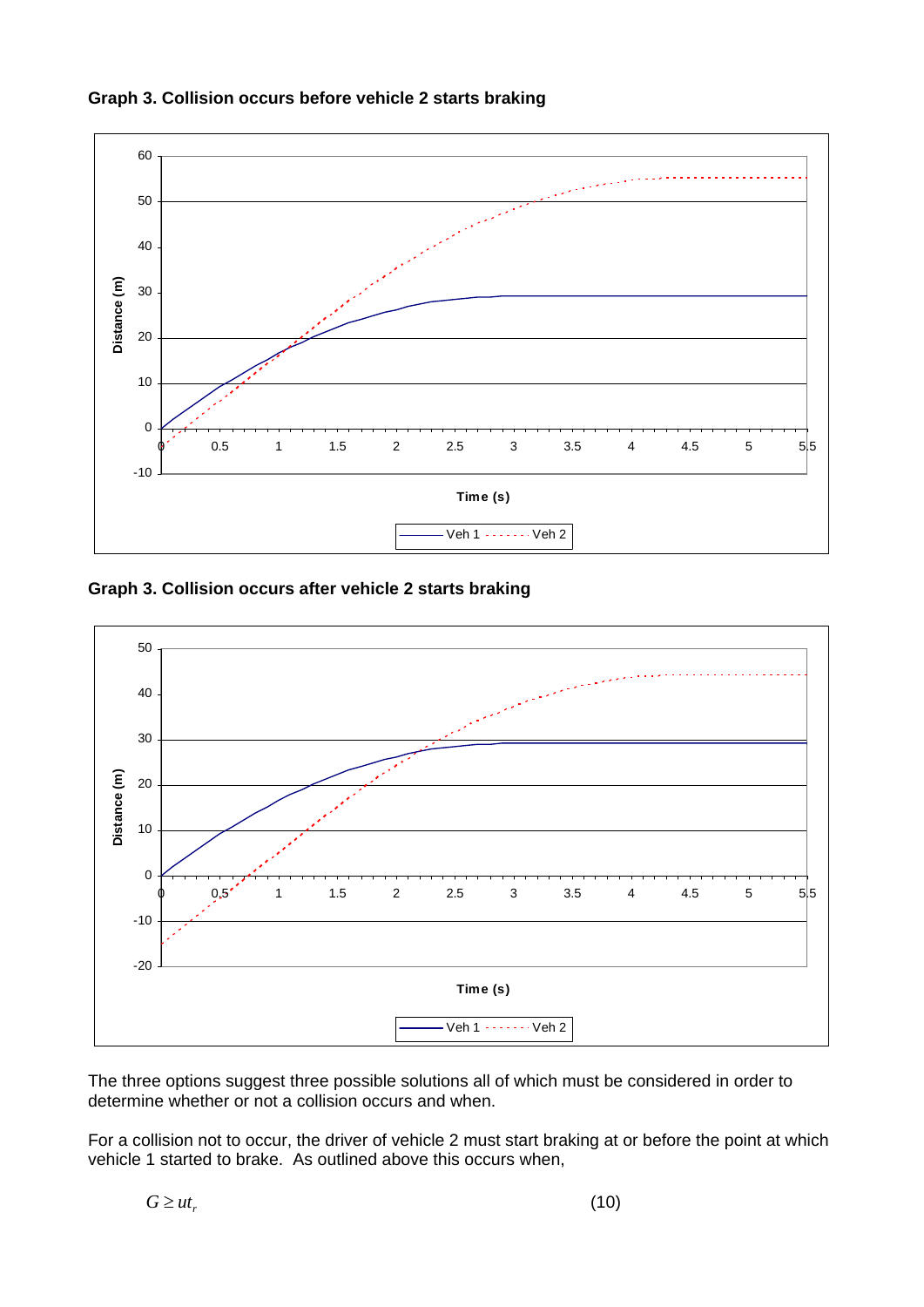

**Graph 3. Collision occurs before vehicle 2 starts braking** 

**Graph 3. Collision occurs after vehicle 2 starts braking** 



The three options suggest three possible solutions all of which must be considered in order to determine whether or not a collision occurs and when.

For a collision not to occur, the driver of vehicle 2 must start braking at or before the point at which vehicle 1 started to brake. As outlined above this occurs when,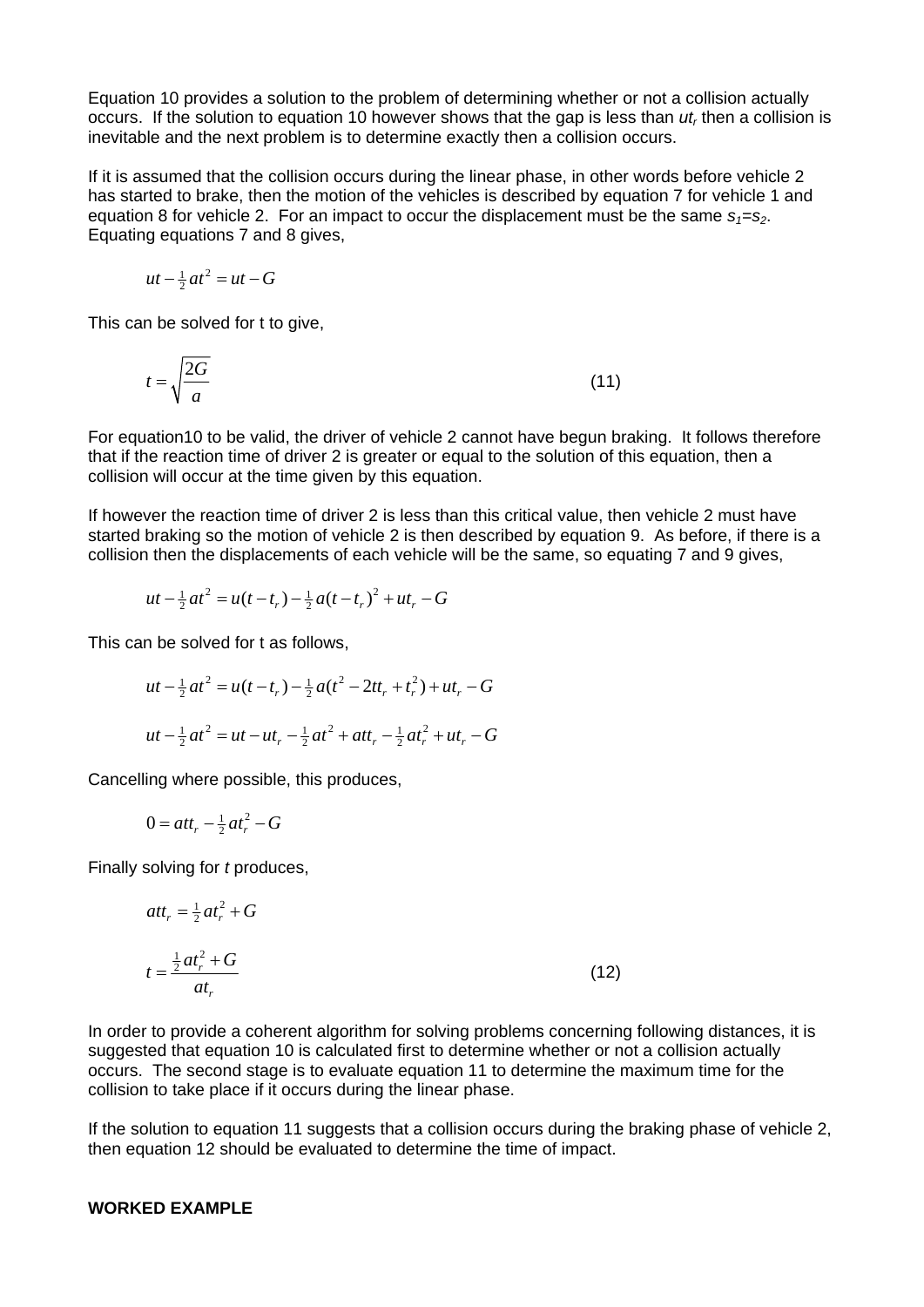Equation 10 provides a solution to the problem of determining whether or not a collision actually occurs. If the solution to equation 10 however shows that the gap is less than *ut<sub>r</sub>* then a collision is inevitable and the next problem is to determine exactly then a collision occurs.

If it is assumed that the collision occurs during the linear phase, in other words before vehicle 2 has started to brake, then the motion of the vehicles is described by equation 7 for vehicle 1 and equation 8 for vehicle 2. For an impact to occur the displacement must be the same  $s_1 = s_2$ . Equating equations 7 and 8 gives,

$$
ut - \frac{1}{2}at^2 = ut - G
$$

This can be solved for t to give,

$$
t = \sqrt{\frac{2G}{a}}\tag{11}
$$

For equation10 to be valid, the driver of vehicle 2 cannot have begun braking. It follows therefore that if the reaction time of driver 2 is greater or equal to the solution of this equation, then a collision will occur at the time given by this equation.

If however the reaction time of driver 2 is less than this critical value, then vehicle 2 must have started braking so the motion of vehicle 2 is then described by equation 9. As before, if there is a collision then the displacements of each vehicle will be the same, so equating 7 and 9 gives,

$$
ut - \frac{1}{2}at^2 = u(t - t_r) - \frac{1}{2}a(t - t_r)^2 + ut_r - G
$$

This can be solved for t as follows,

$$
ut - \frac{1}{2}at^2 = u(t - t_r) - \frac{1}{2}a(t^2 - 2tt_r + t_r^2) + ut_r - G
$$
  

$$
ut - \frac{1}{2}at^2 = ut - ut_r - \frac{1}{2}at^2 + att_r - \frac{1}{2}at_r^2 + ut_r - G
$$

Cancelling where possible, this produces,

$$
0 = att_r - \frac{1}{2}at_r^2 - G
$$

Finally solving for *t* produces,

$$
att_r = \frac{1}{2}at_r^2 + G
$$
  

$$
t = \frac{\frac{1}{2}at_r^2 + G}{at_r}
$$
 (12)

In order to provide a coherent algorithm for solving problems concerning following distances, it is suggested that equation 10 is calculated first to determine whether or not a collision actually occurs. The second stage is to evaluate equation 11 to determine the maximum time for the collision to take place if it occurs during the linear phase.

If the solution to equation 11 suggests that a collision occurs during the braking phase of vehicle 2, then equation 12 should be evaluated to determine the time of impact.

#### **WORKED EXAMPLE**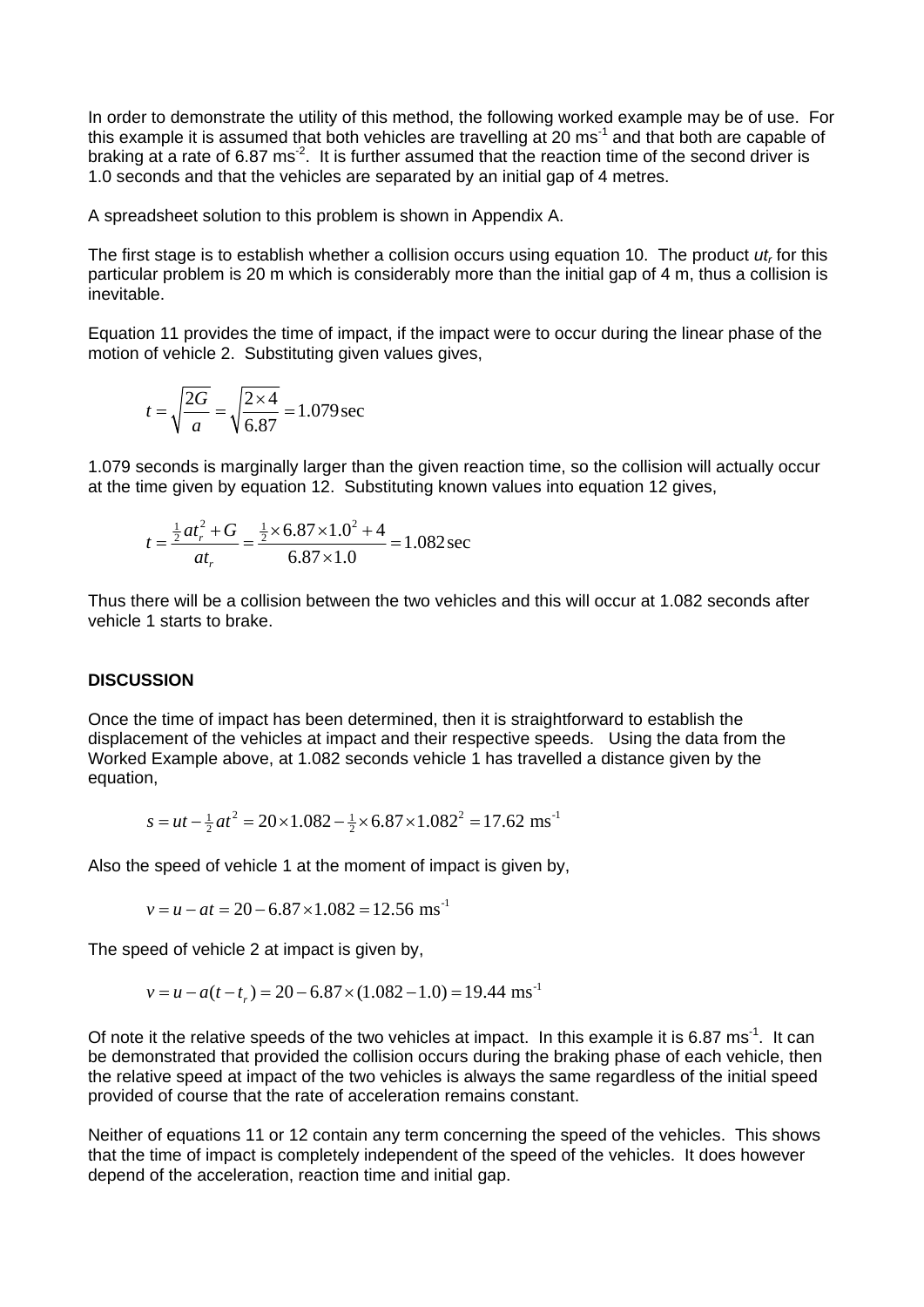In order to demonstrate the utility of this method, the following worked example may be of use. For this example it is assumed that both vehicles are travelling at 20 ms<sup>-1</sup> and that both are capable of braking at a rate of 6.87 ms<sup>-2</sup>. It is further assumed that the reaction time of the second driver is 1.0 seconds and that the vehicles are separated by an initial gap of 4 metres.

A spreadsheet solution to this problem is shown in Appendix A.

The first stage is to establish whether a collision occurs using equation 10. The product *ut<sub>r</sub>* for this particular problem is 20 m which is considerably more than the initial gap of 4 m, thus a collision is inevitable.

Equation 11 provides the time of impact, if the impact were to occur during the linear phase of the motion of vehicle 2. Substituting given values gives,

$$
t = \sqrt{\frac{2G}{a}} = \sqrt{\frac{2 \times 4}{6.87}} = 1.079 \,\text{sec}
$$

1.079 seconds is marginally larger than the given reaction time, so the collision will actually occur at the time given by equation 12. Substituting known values into equation 12 gives,

$$
t = \frac{\frac{1}{2}at_r^2 + G}{at_r} = \frac{\frac{1}{2} \times 6.87 \times 1.0^2 + 4}{6.87 \times 1.0} = 1.082 \text{ sec}
$$

Thus there will be a collision between the two vehicles and this will occur at 1.082 seconds after vehicle 1 starts to brake.

## **DISCUSSION**

Once the time of impact has been determined, then it is straightforward to establish the displacement of the vehicles at impact and their respective speeds. Using the data from the Worked Example above, at 1.082 seconds vehicle 1 has travelled a distance given by the equation,

$$
s = ut - \frac{1}{2}at^2 = 20 \times 1.082 - \frac{1}{2} \times 6.87 \times 1.082^2 = 17.62
$$
 ms<sup>-1</sup>

Also the speed of vehicle 1 at the moment of impact is given by,

$$
v = u - at = 20 - 6.87 \times 1.082 = 12.56
$$
 ms<sup>-1</sup>

The speed of vehicle 2 at impact is given by,

$$
v = u - a(t - t_r) = 20 - 6.87 \times (1.082 - 1.0) = 19.44
$$
 ms<sup>-1</sup>

Of note it the relative speeds of the two vehicles at impact. In this example it is 6.87 ms<sup>-1</sup>. It can be demonstrated that provided the collision occurs during the braking phase of each vehicle, then the relative speed at impact of the two vehicles is always the same regardless of the initial speed provided of course that the rate of acceleration remains constant.

Neither of equations 11 or 12 contain any term concerning the speed of the vehicles. This shows that the time of impact is completely independent of the speed of the vehicles. It does however depend of the acceleration, reaction time and initial gap.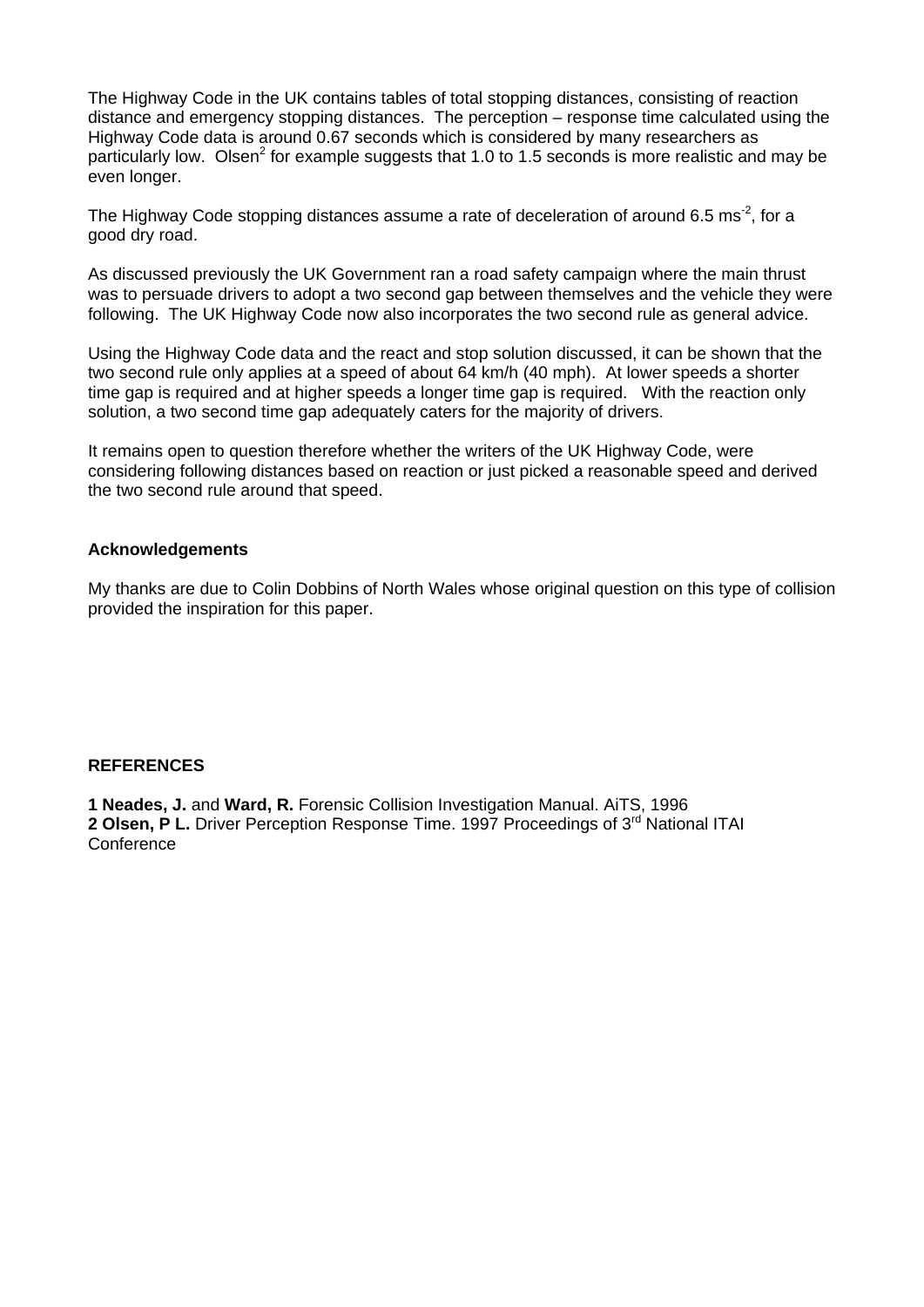The Highway Code in the UK contains tables of total stopping distances, consisting of reaction distance and emergency stopping distances. The perception – response time calculated using the Highway Code data is around 0.67 seconds which is considered by many researchers as particularly low. Olsen<sup>2</sup> for example suggests that 1.0 to 1.5 seconds is more realistic and may be even longer.

The Highway Code stopping distances assume a rate of deceleration of around 6.5 ms<sup>-2</sup>, for a good dry road.

As discussed previously the UK Government ran a road safety campaign where the main thrust was to persuade drivers to adopt a two second gap between themselves and the vehicle they were following. The UK Highway Code now also incorporates the two second rule as general advice.

Using the Highway Code data and the react and stop solution discussed, it can be shown that the two second rule only applies at a speed of about 64 km/h (40 mph). At lower speeds a shorter time gap is required and at higher speeds a longer time gap is required. With the reaction only solution, a two second time gap adequately caters for the majority of drivers.

It remains open to question therefore whether the writers of the UK Highway Code, were considering following distances based on reaction or just picked a reasonable speed and derived the two second rule around that speed.

#### **Acknowledgements**

My thanks are due to Colin Dobbins of North Wales whose original question on this type of collision provided the inspiration for this paper.

#### **REFERENCES**

**1 Neades, J.** and **Ward, R.** Forensic Collision Investigation Manual. AiTS, 1996 **2 Olsen, P L.** Driver Perception Response Time. 1997 Proceedings of 3<sup>rd</sup> National ITAI **Conference**